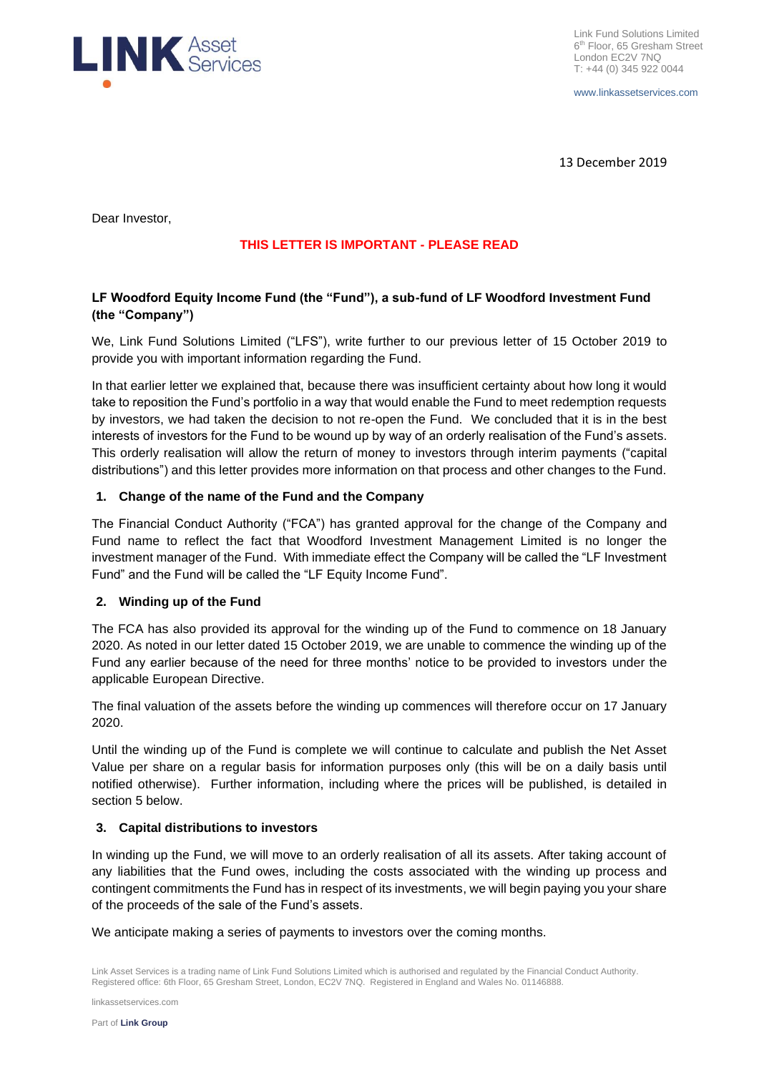

www.linkassetservices.com

13 December 2019

Dear Investor,

# **THIS LETTER IS IMPORTANT - PLEASE READ**

# **LF Woodford Equity Income Fund (the "Fund"), a sub-fund of LF Woodford Investment Fund (the "Company")**

We, Link Fund Solutions Limited ("LFS"), write further to our previous letter of 15 October 2019 to provide you with important information regarding the Fund.

In that earlier letter we explained that, because there was insufficient certainty about how long it would take to reposition the Fund's portfolio in a way that would enable the Fund to meet redemption requests by investors, we had taken the decision to not re-open the Fund. We concluded that it is in the best interests of investors for the Fund to be wound up by way of an orderly realisation of the Fund's assets. This orderly realisation will allow the return of money to investors through interim payments ("capital distributions") and this letter provides more information on that process and other changes to the Fund.

# **1. Change of the name of the Fund and the Company**

The Financial Conduct Authority ("FCA") has granted approval for the change of the Company and Fund name to reflect the fact that Woodford Investment Management Limited is no longer the investment manager of the Fund. With immediate effect the Company will be called the "LF Investment Fund" and the Fund will be called the "LF Equity Income Fund".

# **2. Winding up of the Fund**

The FCA has also provided its approval for the winding up of the Fund to commence on 18 January 2020. As noted in our letter dated 15 October 2019, we are unable to commence the winding up of the Fund any earlier because of the need for three months' notice to be provided to investors under the applicable European Directive.

The final valuation of the assets before the winding up commences will therefore occur on 17 January 2020.

Until the winding up of the Fund is complete we will continue to calculate and publish the Net Asset Value per share on a regular basis for information purposes only (this will be on a daily basis until notified otherwise). Further information, including where the prices will be published, is detailed in section 5 below.

# **3. Capital distributions to investors**

In winding up the Fund, we will move to an orderly realisation of all its assets. After taking account of any liabilities that the Fund owes, including the costs associated with the winding up process and contingent commitments the Fund has in respect of its investments, we will begin paying you your share of the proceeds of the sale of the Fund's assets.

We anticipate making a series of payments to investors over the coming months.

linkassetservices.com

Link Asset Services is a trading name of Link Fund Solutions Limited which is authorised and regulated by the Financial Conduct Authority. Registered office: 6th Floor, 65 Gresham Street, London, EC2V 7NQ. Registered in England and Wales No. 01146888.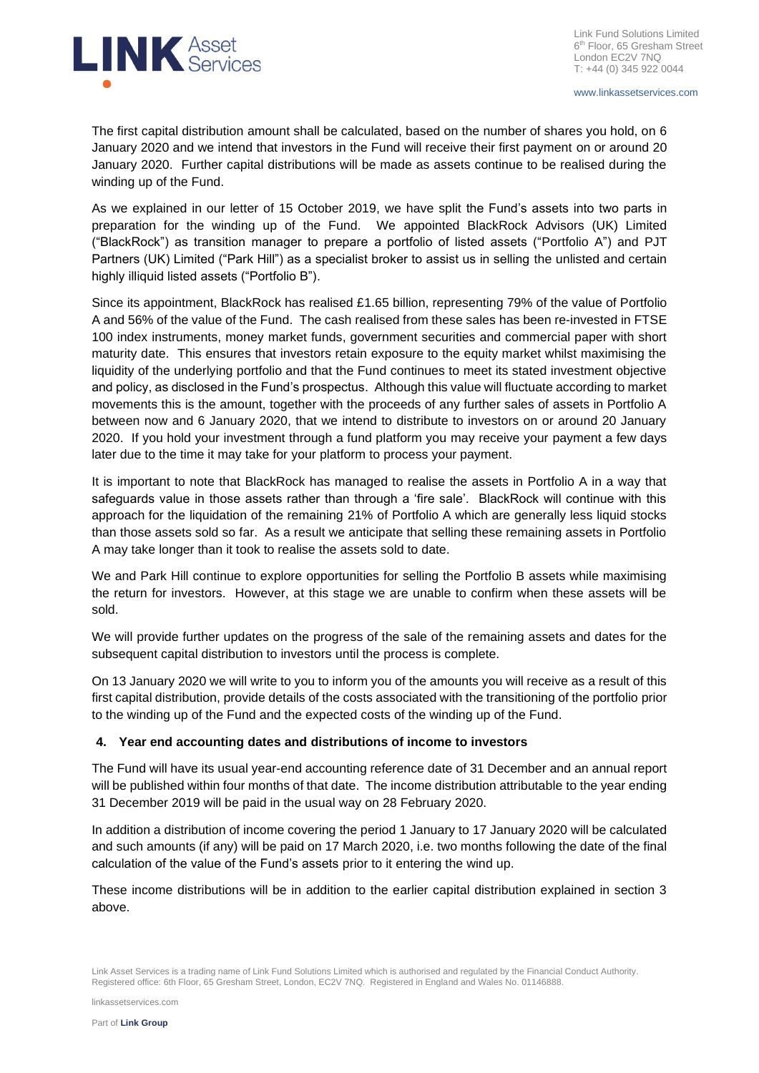

www.linkassetservices.com

The first capital distribution amount shall be calculated, based on the number of shares you hold, on 6 January 2020 and we intend that investors in the Fund will receive their first payment on or around 20 January 2020. Further capital distributions will be made as assets continue to be realised during the winding up of the Fund.

As we explained in our letter of 15 October 2019, we have split the Fund's assets into two parts in preparation for the winding up of the Fund. We appointed BlackRock Advisors (UK) Limited ("BlackRock") as transition manager to prepare a portfolio of listed assets ("Portfolio A") and PJT Partners (UK) Limited ("Park Hill") as a specialist broker to assist us in selling the unlisted and certain highly illiquid listed assets ("Portfolio B").

Since its appointment, BlackRock has realised £1.65 billion, representing 79% of the value of Portfolio A and 56% of the value of the Fund. The cash realised from these sales has been re-invested in FTSE 100 index instruments, money market funds, government securities and commercial paper with short maturity date. This ensures that investors retain exposure to the equity market whilst maximising the liquidity of the underlying portfolio and that the Fund continues to meet its stated investment objective and policy, as disclosed in the Fund's prospectus. Although this value will fluctuate according to market movements this is the amount, together with the proceeds of any further sales of assets in Portfolio A between now and 6 January 2020, that we intend to distribute to investors on or around 20 January 2020. If you hold your investment through a fund platform you may receive your payment a few days later due to the time it may take for your platform to process your payment.

It is important to note that BlackRock has managed to realise the assets in Portfolio A in a way that safeguards value in those assets rather than through a 'fire sale'. BlackRock will continue with this approach for the liquidation of the remaining 21% of Portfolio A which are generally less liquid stocks than those assets sold so far. As a result we anticipate that selling these remaining assets in Portfolio A may take longer than it took to realise the assets sold to date.

We and Park Hill continue to explore opportunities for selling the Portfolio B assets while maximising the return for investors. However, at this stage we are unable to confirm when these assets will be sold.

We will provide further updates on the progress of the sale of the remaining assets and dates for the subsequent capital distribution to investors until the process is complete.

On 13 January 2020 we will write to you to inform you of the amounts you will receive as a result of this first capital distribution, provide details of the costs associated with the transitioning of the portfolio prior to the winding up of the Fund and the expected costs of the winding up of the Fund.

# **4. Year end accounting dates and distributions of income to investors**

The Fund will have its usual year-end accounting reference date of 31 December and an annual report will be published within four months of that date. The income distribution attributable to the year ending 31 December 2019 will be paid in the usual way on 28 February 2020.

In addition a distribution of income covering the period 1 January to 17 January 2020 will be calculated and such amounts (if any) will be paid on 17 March 2020, i.e. two months following the date of the final calculation of the value of the Fund's assets prior to it entering the wind up.

These income distributions will be in addition to the earlier capital distribution explained in section 3 above.

Link Asset Services is a trading name of Link Fund Solutions Limited which is authorised and regulated by the Financial Conduct Authority. Registered office: 6th Floor, 65 Gresham Street, London, EC2V 7NQ. Registered in England and Wales No. 01146888.

linkassetservices.com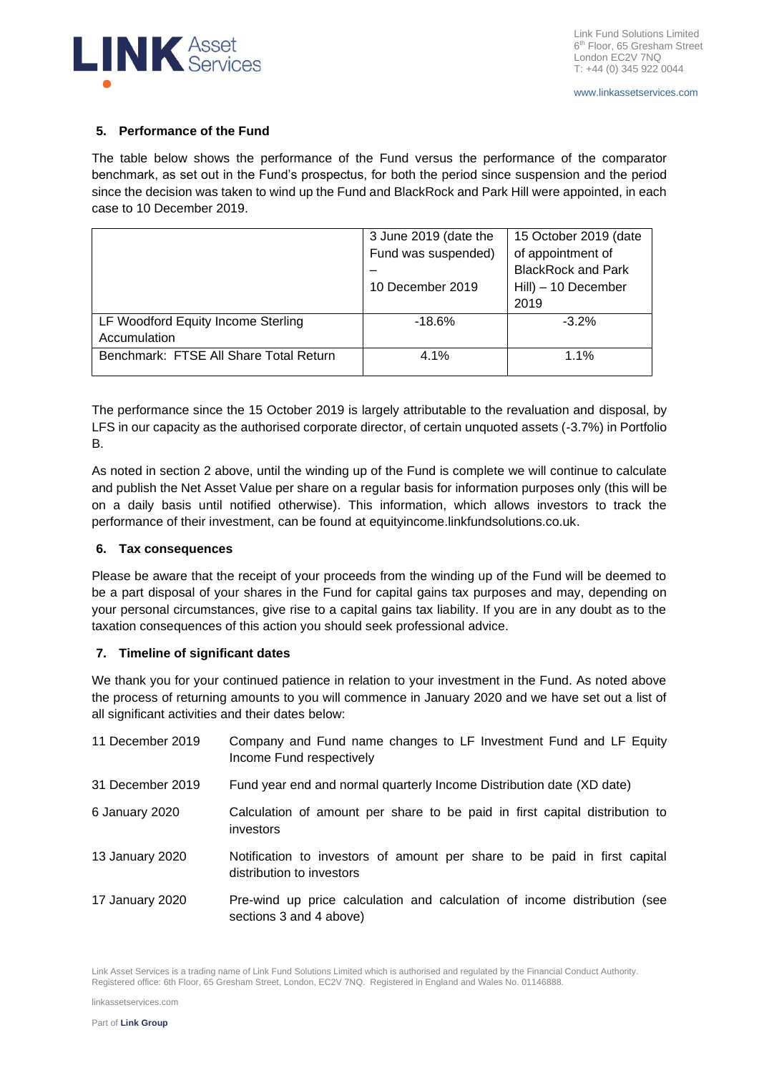

# **5. Performance of the Fund**

The table below shows the performance of the Fund versus the performance of the comparator benchmark, as set out in the Fund's prospectus, for both the period since suspension and the period since the decision was taken to wind up the Fund and BlackRock and Park Hill were appointed, in each case to 10 December 2019.

|                                        | 3 June 2019 (date the | 15 October 2019 (date     |
|----------------------------------------|-----------------------|---------------------------|
|                                        | Fund was suspended)   | of appointment of         |
|                                        |                       | <b>BlackRock and Park</b> |
|                                        | 10 December 2019      | Hill) - 10 December       |
|                                        |                       | 2019                      |
| LF Woodford Equity Income Sterling     | $-18.6%$              | $-3.2\%$                  |
| Accumulation                           |                       |                           |
| Benchmark: FTSE All Share Total Return | 4.1%                  | $1.1\%$                   |
|                                        |                       |                           |

The performance since the 15 October 2019 is largely attributable to the revaluation and disposal, by LFS in our capacity as the authorised corporate director, of certain unquoted assets (-3.7%) in Portfolio B.

As noted in section 2 above, until the winding up of the Fund is complete we will continue to calculate and publish the Net Asset Value per share on a regular basis for information purposes only (this will be on a daily basis until notified otherwise). This information, which allows investors to track the performance of their investment, can be found at equityincome.linkfundsolutions.co.uk.

# **6. Tax consequences**

Please be aware that the receipt of your proceeds from the winding up of the Fund will be deemed to be a part disposal of your shares in the Fund for capital gains tax purposes and may, depending on your personal circumstances, give rise to a capital gains tax liability. If you are in any doubt as to the taxation consequences of this action you should seek professional advice.

# **7. Timeline of significant dates**

We thank you for your continued patience in relation to your investment in the Fund. As noted above the process of returning amounts to you will commence in January 2020 and we have set out a list of all significant activities and their dates below:

| 11 December 2019 | Company and Fund name changes to LF Investment Fund and LF Equity<br>Income Fund respectively          |
|------------------|--------------------------------------------------------------------------------------------------------|
| 31 December 2019 | Fund year end and normal quarterly Income Distribution date (XD date)                                  |
| 6 January 2020   | Calculation of amount per share to be paid in first capital distribution to<br>investors               |
| 13 January 2020  | Notification to investors of amount per share to be paid in first capital<br>distribution to investors |
| 17 January 2020  | Pre-wind up price calculation and calculation of income distribution (see<br>sections 3 and 4 above)   |

Link Asset Services is a trading name of Link Fund Solutions Limited which is authorised and regulated by the Financial Conduct Authority. Registered office: 6th Floor, 65 Gresham Street, London, EC2V 7NQ. Registered in England and Wales No. 01146888.